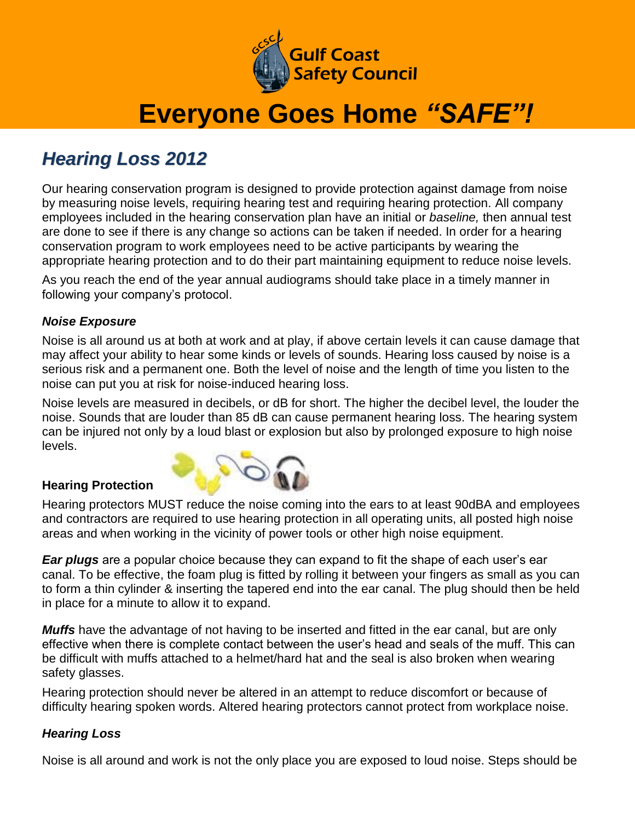

## **Everyone Goes Home** *"SAFE"!*

### *Hearing Loss 2012*

Our hearing conservation program is designed to provide protection against damage from noise by measuring noise levels, requiring hearing test and requiring hearing protection. All company employees included in the hearing conservation plan have an initial or *baseline,* then annual test are done to see if there is any change so actions can be taken if needed. In order for a hearing conservation program to work employees need to be active participants by wearing the appropriate hearing protection and to do their part maintaining equipment to reduce noise levels.

As you reach the end of the year annual audiograms should take place in a timely manner in following your company's protocol.

#### *Noise Exposure*

Noise is all around us at both at work and at play, if above certain levels it can cause damage that may affect your ability to hear some kinds or levels of sounds. Hearing loss caused by noise is a serious risk and a permanent one. Both the level of noise and the length of time you listen to the noise can put you at risk for noise-induced hearing loss.

Noise levels are measured in decibels, or dB for short. The higher the decibel level, the louder the noise. Sounds that are louder than 85 dB can cause permanent hearing loss. The hearing system can be injured not only by a loud blast or explosion but also by prolonged exposure to high noise levels.

#### **Hearing Protection**



Hearing protectors MUST reduce the noise coming into the ears to at least 90dBA and employees and contractors are required to use hearing protection in all operating units, all posted high noise areas and when working in the vicinity of power tools or other high noise equipment.

*Ear plugs* are a popular choice because they can expand to fit the shape of each user's ear canal. To be effective, the foam plug is fitted by rolling it between your fingers as small as you can to form a thin cylinder & inserting the tapered end into the ear canal. The plug should then be held in place for a minute to allow it to expand.

*Muffs* have the advantage of not having to be inserted and fitted in the ear canal, but are only effective when there is complete contact between the user's head and seals of the muff. This can be difficult with muffs attached to a helmet/hard hat and the seal is also broken when wearing safety glasses.

Hearing protection should never be altered in an attempt to reduce discomfort or because of difficulty hearing spoken words. Altered hearing protectors cannot protect from workplace noise.

#### *Hearing Loss*

Noise is all around and work is not the only place you are exposed to loud noise. Steps should be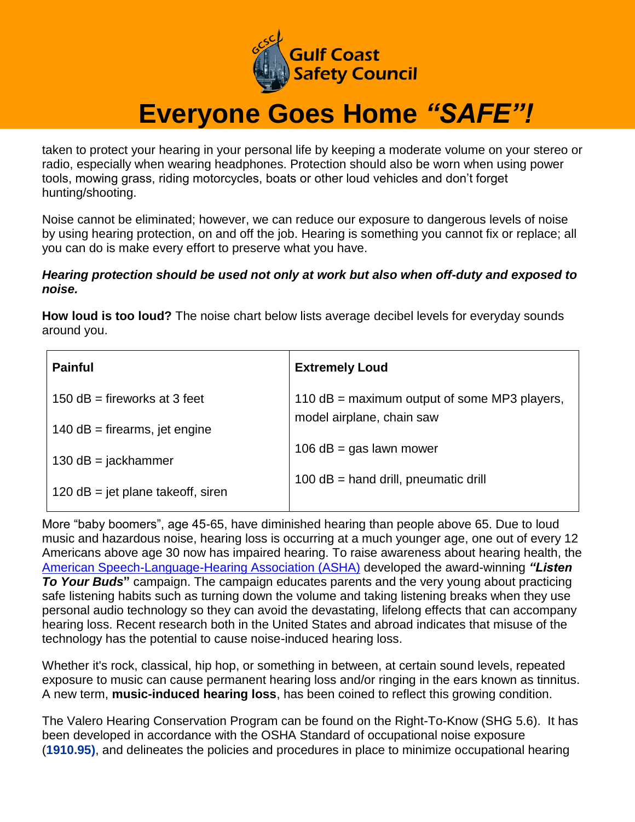

## **Everyone Goes Home** *"SAFE"!*

taken to protect your hearing in your personal life by keeping a moderate volume on your stereo or radio, especially when wearing headphones. Protection should also be worn when using power tools, mowing grass, riding motorcycles, boats or other loud vehicles and don't forget hunting/shooting.

Noise cannot be eliminated; however, we can reduce our exposure to dangerous levels of noise by using hearing protection, on and off the job. Hearing is something you cannot fix or replace; all you can do is make every effort to preserve what you have.

#### *Hearing protection should be used not only at work but also when off-duty and exposed to noise.*

**How loud is too loud?** The noise chart below lists average decibel levels for everyday sounds around you.

| <b>Painful</b>                      | <b>Extremely Loud</b>                          |
|-------------------------------------|------------------------------------------------|
| 150 $dB =$ fireworks at 3 feet      | 110 $dB =$ maximum output of some MP3 players, |
| 140 $dB =$ firearms, jet engine     | model airplane, chain saw                      |
| 130 $dB = jackhammer$               | 106 $dB = gas$ lawn mower                      |
| 120 $dB = jet$ plane takeoff, siren | 100 dB = hand drill, pneumatic drill           |

More "baby boomers", age 45-65, have diminished hearing than people above 65. Due to loud music and hazardous noise, hearing loss is occurring at a much younger age, one out of every 12 Americans above age 30 now has impaired hearing. To raise awareness about hearing health, the [American Speech-Language-Hearing Association \(ASHA\)](http://www.asha.org/) developed the award-winning *"Listen To Your Buds***"** campaign. The campaign educates parents and the very young about practicing safe listening habits such as turning down the volume and taking listening breaks when they use personal audio technology so they can avoid the devastating, lifelong effects that can accompany hearing loss. Recent research both in the United States and abroad indicates that misuse of the technology has the potential to cause noise-induced hearing loss.

Whether it's rock, classical, hip hop, or something in between, at certain sound levels, repeated exposure to music can cause permanent hearing loss and/or ringing in the ears known as tinnitus. A new term, **music-induced hearing loss**, has been coined to reflect this growing condition.

The Valero Hearing Conservation Program can be found on the Right-To-Know (SHG 5.6). It has been developed in accordance with the OSHA Standard of occupational noise exposure (**1910.95)**, and delineates the policies and procedures in place to minimize occupational hearing